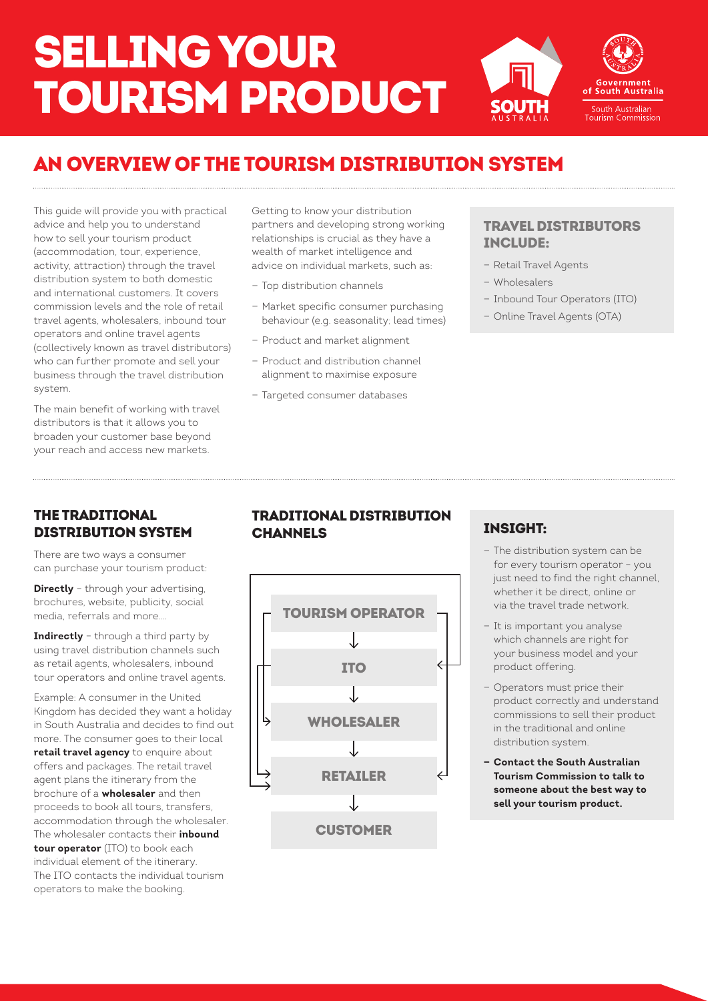# SELLING YOUR TOURISM PRODUCT



## AN OVERVIEW OF THE TOURISM DISTRIBUTION SYSTEM

This guide will provide you with practical advice and help you to understand how to sell your tourism product (accommodation, tour, experience, activity, attraction) through the travel distribution system to both domestic and international customers. It covers commission levels and the role of retail travel agents, wholesalers, inbound tour operators and online travel agents (collectively known as travel distributors) who can further promote and sell your business through the travel distribution system.

The main benefit of working with travel distributors is that it allows you to broaden your customer base beyond your reach and access new markets.

Getting to know your distribution partners and developing strong working relationships is crucial as they have a wealth of market intelligence and advice on individual markets, such as:

- Top distribution channels
- Market specific consumer purchasing behaviour (e.g. seasonality; lead times)
- Product and market alignment
- Product and distribution channel alignment to maximise exposure
- Targeted consumer databases

#### TRAVEL DISTRIBUTORS INCLUDE:

- Retail Travel Agents
- Wholesalers
- Inbound Tour Operators (ITO)
- Online Travel Agents (OTA)

#### THE TRADITIONAL DISTRIBUTION SYSTEM

There are two ways a consumer can purchase your tourism product:

**Directly** - through your advertising, brochures, website, publicity, social media, referrals and more….

**Indirectly** – through a third party by using travel distribution channels such as retail agents, wholesalers, inbound tour operators and online travel agents.

Example: A consumer in the United Kingdom has decided they want a holiday in South Australia and decides to find out more. The consumer goes to their local **retail travel agency** to enquire about offers and packages. The retail travel agent plans the itinerary from the brochure of a **wholesaler** and then proceeds to book all tours, transfers, accommodation through the wholesaler. The wholesaler contacts their **inbound tour operator** (ITO) to book each individual element of the itinerary. The ITO contacts the individual tourism operators to make the booking.

#### TRADITIONAL DISTRIBUTION **CHANNELS**



### INSIGHT:

- The distribution system can be for every tourism operator – you just need to find the right channel. whether it be direct, online or via the travel trade network.
- It is important you analyse which channels are right for your business model and your product offering.
- Operators must price their product correctly and understand commissions to sell their product in the traditional and online distribution system.
- **— Contact the South Australian Tourism Commission to talk to someone about the best way to sell your tourism product.**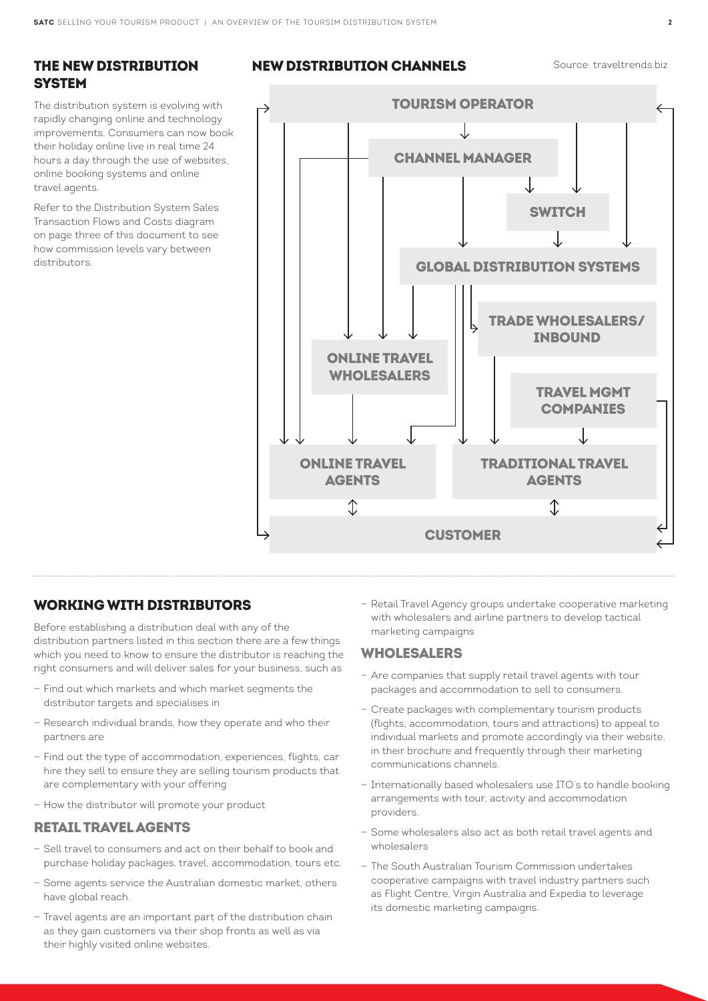#### THE NEW DISTRIBUTION **SYSTEM**

The distribution system is evolving with rapidly changing online and technology improvements. Consumers can now book their holiday online live in real time 24 hours a day through the use of websites, online booking systems and online travel agents.

Refer to the Distribution System Sales Transaction Flows and Costs diagram on page three of this document to see how commission levels vary between distributors.

#### **NEW DISTRIBUTION CHANNELS** Source: traveltrends.biz



#### WORKING WITH DISTRIBUTORS

Before establishing a distribution deal with any of the distribution partners listed in this section there are a few things which you need to know to ensure the distributor is reaching the right consumers and will deliver sales for your business, such as

- Find out which markets and which market segments the distributor targets and specialises in
- Research individual brands, how they operate and who their partners are
- Find out the type of accommodation, experiences, flights, car hire they sell to ensure they are selling tourism products that are complementary with your offering
- How the distributor will promote your product

#### RETAIL TRAVEL AGENTS

- Sell travel to consumers and act on their behalf to book and purchase holiday packages, travel, accommodation, tours etc.
- Some agents service the Australian domestic market, others have global reach.
- Travel agents are an important part of the distribution chain as they gain customers via their shop fronts as well as via their highly visited online websites.

— Retail Travel Agency groups undertake cooperative marketing with wholesalers and airline partners to develop tactical marketing campaigns

#### WHOLESALERS

- Are companies that supply retail travel agents with tour packages and accommodation to sell to consumers.
- Create packages with complementary tourism products (flights, accommodation, tours and attractions) to appeal to individual markets and promote accordingly via their website, in their brochure and frequently through their marketing communications channels.
- Internationally based wholesalers use ITO's to handle booking arrangements with tour, activity and accommodation providers.
- Some wholesalers also act as both retail travel agents and wholesalers
- The South Australian Tourism Commission undertakes cooperative campaigns with travel industry partners such as Flight Centre, Virgin Australia and Expedia to leverage its domestic marketing campaigns.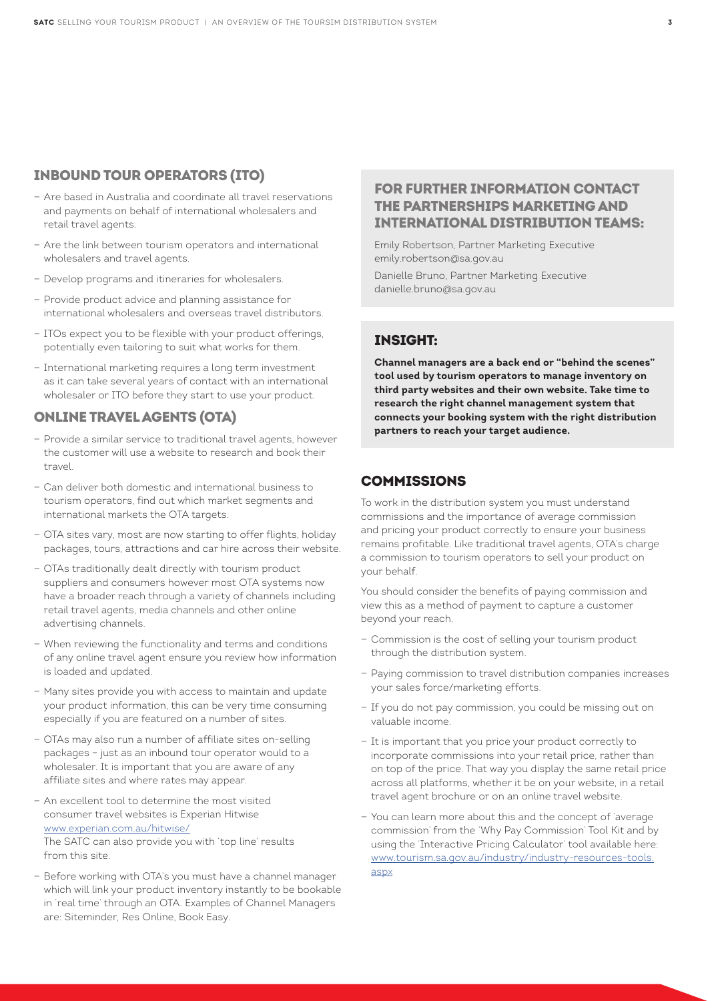#### INBOUND TOUR OPERATORS (ITO)

- Are based in Australia and coordinate all travel reservations and payments on behalf of international wholesalers and retail travel agents.
- Are the link between tourism operators and international wholesalers and travel agents.
- Develop programs and itineraries for wholesalers.
- Provide product advice and planning assistance for international wholesalers and overseas travel distributors.
- ITOs expect you to be flexible with your product offerings, potentially even tailoring to suit what works for them.
- International marketing requires a long term investment as it can take several years of contact with an international wholesaler or ITO before they start to use your product.

#### ONLINE TRAVEL AGENTS (OTA)

- Provide a similar service to traditional travel agents, however the customer will use a website to research and book their travel.
- Can deliver both domestic and international business to tourism operators, find out which market segments and international markets the OTA targets.
- OTA sites vary, most are now starting to offer flights, holiday packages, tours, attractions and car hire across their website.
- OTAs traditionally dealt directly with tourism product suppliers and consumers however most OTA systems now have a broader reach through a variety of channels including retail travel agents, media channels and other online advertising channels.
- When reviewing the functionality and terms and conditions of any online travel agent ensure you review how information is loaded and updated.
- Many sites provide you with access to maintain and update your product information, this can be very time consuming especially if you are featured on a number of sites.
- OTAs may also run a number of affiliate sites on-selling packages – just as an inbound tour operator would to a wholesaler. It is important that you are aware of any affiliate sites and where rates may appear.
- An excellent tool to determine the most visited consumer travel websites is Experian Hitwise [www.experian.com.au/hitwise/](http://www.experian.com.au/hitwise/) The SATC can also provide you with 'top line' results from this site.
- Before working with OTA's you must have a channel manager which will link your product inventory instantly to be bookable in 'real time' through an OTA. Examples of Channel Managers are: Siteminder, Res Online, Book Easy.

#### FOR FURTHER INFORMATION CONTACT THE PARTNERSHIPS MARKETING AND INTERNATIONAL DISTRIBUTION TEAMS:

Emily Robertson, Partner Marketing Executive emily.robertson@sa.gov.au

Danielle Bruno, Partner Marketing Executive danielle.bruno@sa.gov.au

#### INSIGHT:

**Channel managers are a back end or "behind the scenes" tool used by tourism operators to manage inventory on third party websites and their own website. Take time to research the right channel management system that connects your booking system with the right distribution partners to reach your target audience.**

#### **COMMISSIONS**

To work in the distribution system you must understand commissions and the importance of average commission and pricing your product correctly to ensure your business remains profitable. Like traditional travel agents, OTA's charge a commission to tourism operators to sell your product on your behalf.

You should consider the benefits of paying commission and view this as a method of payment to capture a customer beyond your reach.

- Commission is the cost of selling your tourism product through the distribution system.
- Paying commission to travel distribution companies increases your sales force/marketing efforts.
- If you do not pay commission, you could be missing out on valuable income.
- It is important that you price your product correctly to incorporate commissions into your retail price, rather than on top of the price. That way you display the same retail price across all platforms, whether it be on your website, in a retail travel agent brochure or on an online travel website.
- You can learn more about this and the concept of 'average commission' from the 'Why Pay Commission' Tool Kit and by using the 'Interactive Pricing Calculator' tool available here: [www.tourism.sa.gov.au/industry/industry-resources-tools.](http://www.tourism.sa.gov.au/industry/industry-resources-tools.aspx) [aspx](http://www.tourism.sa.gov.au/industry/industry-resources-tools.aspx)